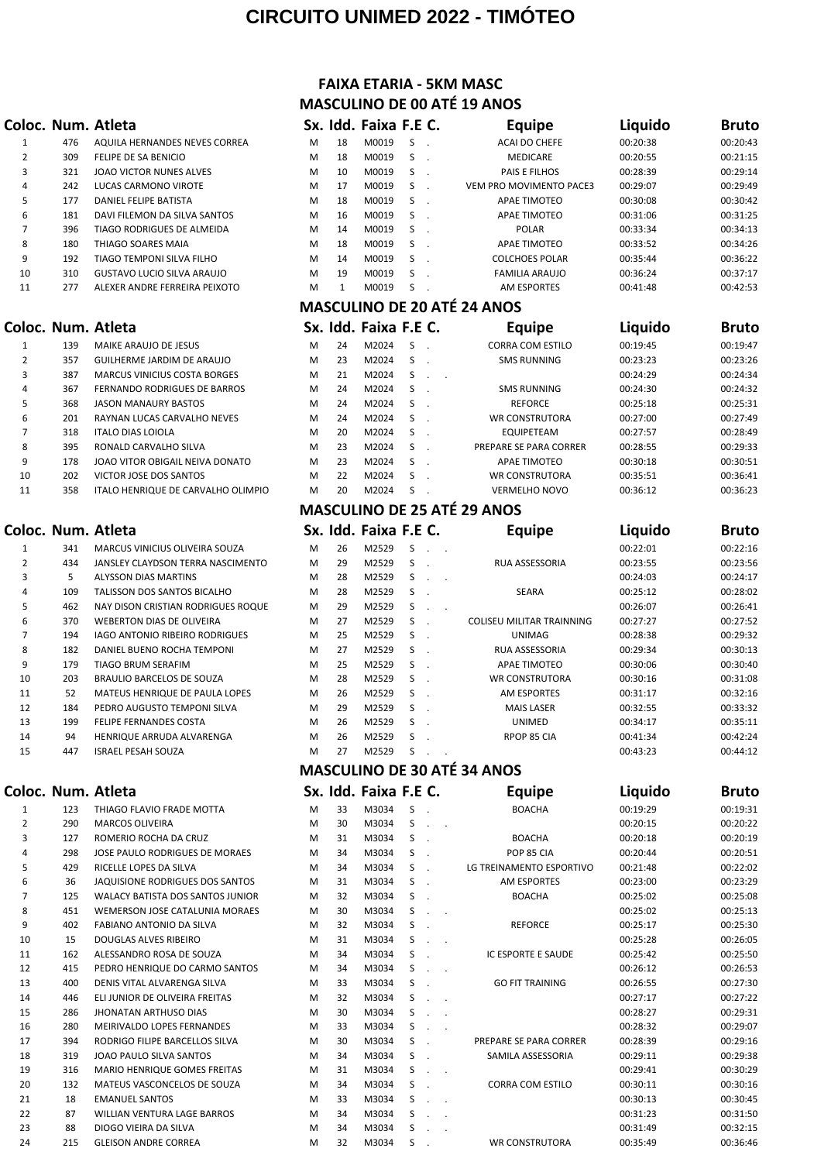## **CIRCUITO UNIMED 2022 - TIMÓTEO**

### $E$  **Coloc. Num.** Atleta

| 1  | 476 | AQUILA HERNANDES NEVES CORREA  |
|----|-----|--------------------------------|
| 2  | 309 | FELIPE DE SA BENICIO           |
| 3  | 321 | <b>IOAO VICTOR NUNES ALVES</b> |
| 4  | 242 | LUCAS CARMONO VIROTE           |
| 5  | 177 | DANIEL FELIPE BATISTA          |
| 6  | 181 | DAVI FILEMON DA SILVA SANTOS   |
| 7  | 396 | TIAGO RODRIGUES DE ALMEIDA     |
| 8  | 180 | THIAGO SOARES MAIA             |
| 9  | 192 | TIAGO TEMPONI SILVA FILHO      |
| 10 | 310 | GUSTAVO LUCIO SILVA ARAUJO     |
| 11 | 277 | ALEXER ANDRE FERREIRA PEIXOTO  |
|    |     |                                |
|    |     |                                |
|    |     | oloc. Num. Atleta              |

| 1              | 139 | MAIKE ARAUJO DE JESUS                |
|----------------|-----|--------------------------------------|
| $\overline{2}$ | 357 | GUILHERME JARDIM DE ARAUJO           |
| 3              | 387 | <b>MARCUS VINICIUS COSTA BORGES</b>  |
| 4              | 367 | FERNANDO RODRIGUES DE BARROS         |
| 5              | 368 | <b>JASON MANAURY BASTOS</b>          |
| 6              | 201 | RAYNAN LUCAS CARVALHO NEVES          |
| $\overline{7}$ | 318 | <b>ITALO DIAS LOIOLA</b>             |
| 8              | 395 | RONALD CARVALHO SILVA                |
| 9              | 178 | JOAO VITOR OBIGAIL NEIVA DONAT       |
| 10             | 202 | VICTOR JOSE DOS SANTOS               |
| 11             | 358 | <b>ITALO HENRIQUE DE CARVALHO OL</b> |

| 1  | 341 | MARCUS VINICIUS OLIVEIRA SOUZA     |
|----|-----|------------------------------------|
| 2  | 434 | JANSLEY CLAYDSON TERRA NASCIMENTO  |
| 3  | 5   | ALYSSON DIAS MARTINS               |
| 4  | 109 | TALISSON DOS SANTOS BICALHO        |
| 5  | 462 | NAY DISON CRISTIAN RODRIGUES ROQUE |
| 6  | 370 | <b>WEBERTON DIAS DE OLIVEIRA</b>   |
| 7  | 194 | IAGO ANTONIO RIBEIRO RODRIGUES     |
| 8  | 182 | DANIEL BUENO ROCHA TEMPONI         |
| 9  | 179 | <b>TIAGO BRUM SERAFIM</b>          |
| 10 | 203 | BRAULIO BARCELOS DE SOUZA          |
| 11 | 52  | MATEUS HENRIQUE DE PAULA LOPES     |
| 12 | 184 | PEDRO AUGUSTO TEMPONI SILVA        |
| 13 | 199 | FELIPE FERNANDES COSTA             |
| 14 | 94  | HENRIQUE ARRUDA ALVARENGA          |
| 15 | 447 | ISRAEL PESAH SOUZA                 |

| 1              | 123             | THIAGO FLAVIO FRADE MOTTA               |
|----------------|-----------------|-----------------------------------------|
| 2              | 290             | <b>MARCOS OLIVEIRA</b>                  |
| 3              | 127             | ROMERIO ROCHA DA CRUZ                   |
| 4              | 298             | JOSE PAULO RODRIGUES DE MORAES          |
| 5              | 429             | RICELLE LOPES DA SILVA                  |
| 6              | 36              | JAQUISIONE RODRIGUES DOS SANTOS         |
| $\overline{7}$ | 125             | <b>WALACY BATISTA DOS SANTOS JUNIOR</b> |
| 8              | 451             | WEMERSON JOSE CATALUNIA MORAES          |
| 9              | 402             | FABIANO ANTONIO DA SILVA                |
| 10             | 15 <sup>2</sup> | <b>DOUGLAS ALVES RIBEIRO</b>            |
| 11             | 162             | ALESSANDRO ROSA DE SOUZA                |
| 12             | 415             | PEDRO HENRIQUE DO CARMO SANTOS          |
| 13             | 400             | DENIS VITAL ALVARENGA SILVA             |
| 14             | 446             | ELI JUNIOR DE OLIVEIRA FREITAS          |
| 15             | 286             | <b>JHONATAN ARTHUSO DIAS</b>            |
| 16             | 280             | <b>MEIRIVALDO LOPES FERNANDES</b>       |
| 17             | 394             | RODRIGO FILIPE BARCELLOS SILVA          |
| 18             | 319             | JOAO PAULO SILVA SANTOS                 |
| 19             | 316             | <b>MARIO HENRIQUE GOMES FREITAS</b>     |
| 20             | 132             | MATEUS VASCONCELOS DE SOUZA             |
| 21             | 18              | <b>EMANUEL SANTOS</b>                   |
| 22             | 87              | WILLIAN VENTURA LAGE BARROS             |
| 23             | 88              | DIOGO VIEIRA DA SILVA                   |
| 24             | 215             | <b>GLEISON ANDRE CORREA</b>             |

## **FAIXA ETARIA - 5KM MASC MASCULINO DE 00 ATÉ 19 ANOS**

|                |     | lloc. Num. Atleta                 |   |    | Sx. Idd. Faixa F.E C. |   | Equipe                             | Liquido  | <b>Bruto</b> |
|----------------|-----|-----------------------------------|---|----|-----------------------|---|------------------------------------|----------|--------------|
| $\mathbf{1}$   | 476 | AQUILA HERNANDES NEVES CORREA     | M | 18 | M0019                 | S | ACAI DO CHEFE                      | 00:20:38 | 00:20:43     |
| $\overline{2}$ | 309 | FELIPE DE SA BENICIO              | M | 18 | M0019                 | S | <b>MEDICARE</b>                    | 00:20:55 | 00:21:15     |
| 3              | 321 | JOAO VICTOR NUNES ALVES           | M | 10 | M0019                 | S | PAIS E FILHOS                      | 00:28:39 | 00:29:14     |
| 4              | 242 | LUCAS CARMONO VIROTE              | M | 17 | M0019                 | S | VEM PRO MOVIMENTO PACE3            | 00:29:07 | 00:29:49     |
| 5              | 177 | DANIEL FELIPE BATISTA             | M | 18 | M0019                 | S | APAE TIMOTEO                       | 00:30:08 | 00:30:42     |
| 6              | 181 | DAVI FILEMON DA SILVA SANTOS      | M | 16 | M0019                 | S | APAE TIMOTEO                       | 00:31:06 | 00:31:25     |
| 7              | 396 | TIAGO RODRIGUES DE ALMEIDA        | M | 14 | M0019                 | S | <b>POLAR</b>                       | 00:33:34 | 00:34:13     |
| 8              | 180 | THIAGO SOARES MAIA                | M | 18 | M0019                 | S | APAE TIMOTEO                       | 00:33:52 | 00:34:26     |
| 9              | 192 | TIAGO TEMPONI SILVA FILHO         | M | 14 | M0019                 | S | <b>COLCHOES POLAR</b>              | 00:35:44 | 00:36:22     |
| 10             | 310 | <b>GUSTAVO LUCIO SILVA ARAUJO</b> | M | 19 | M0019                 | S | <b>FAMILIA ARAUJO</b>              | 00:36:24 | 00:37:17     |
| 11             | 277 | ALEXER ANDRE FERREIRA PEIXOTO     | M |    | M0019                 | S | AM ESPORTES                        | 00:41:48 | 00:42:53     |
|                |     |                                   |   |    |                       |   | <b>MASCULINO DE 20 ATÉ 24 ANOS</b> |          |              |
| ے ما           |     | Num Atleta                        |   |    | Sy Idd Faiva F F C    |   | <b>Fauine</b>                      | nhiuni I | <b>Rruto</b> |

|    |     | Coloc. Num. Atleta                  |   |    | Sx. Idd. Faixa F.E C. |    | Equipe                 | Liquido  | <b>Bruto</b> |
|----|-----|-------------------------------------|---|----|-----------------------|----|------------------------|----------|--------------|
|    | 139 | MAIKE ARAUJO DE JESUS               | м | 24 | M2024                 |    | CORRA COM ESTILO       | 00:19:45 | 00:19:47     |
|    | 357 | GUILHERME JARDIM DE ARAUJO          | м | 23 | M2024                 |    | <b>SMS RUNNING</b>     | 00:23:23 | 00:23:26     |
|    | 387 | <b>MARCUS VINICIUS COSTA BORGES</b> | м | 21 | M2024                 | S. |                        | 00:24:29 | 00:24:34     |
| 4  | 367 | FERNANDO RODRIGUES DE BARROS        | M | 24 | M2024                 | S. | <b>SMS RUNNING</b>     | 00:24:30 | 00:24:32     |
| 5. | 368 | <b>JASON MANAURY BASTOS</b>         | м | 24 | M2024                 | S. | <b>REFORCE</b>         | 00:25:18 | 00:25:31     |
| 6  | 201 | RAYNAN LUCAS CARVALHO NEVES         | м | 24 | M2024                 | S. | <b>WR CONSTRUTORA</b>  | 00:27:00 | 00:27:49     |
|    | 318 | <b>ITALO DIAS LOIOLA</b>            | M | 20 | M2024                 | \$ | <b>EQUIPETEAM</b>      | 00:27:57 | 00:28:49     |
| 8  | 395 | RONALD CARVALHO SILVA               | м | 23 | M2024                 | S. | PREPARE SE PARA CORRER | 00:28:55 | 00:29:33     |
| 9  | 178 | JOAO VITOR OBIGAIL NEIVA DONATO     | м | 23 | M2024                 | S. | APAE TIMOTEO           | 00:30:18 | 00:30:51     |
| 10 | 202 | VICTOR JOSE DOS SANTOS              | м | 22 | M2024                 | S. | <b>WR CONSTRUTORA</b>  | 00:35:51 | 00:36:41     |
| 11 | 358 | ITALO HENRIQUE DE CARVALHO OLIMPIO  | м | 20 | M2024                 | S  | <b>VERMELHO NOVO</b>   | 00:36:12 | 00:36:23     |

# **MASCULINO DE 25 ATÉ 29 ANOS**

|                |     | Coloc. Num. Atleta                    |   |    | Sx. Idd. Faixa F.E C. |    |  | Equipe                    | Liquido  | Bruto    |
|----------------|-----|---------------------------------------|---|----|-----------------------|----|--|---------------------------|----------|----------|
|                | 341 | MARCUS VINICIUS OLIVEIRA SOUZA        | M | 26 | M2529                 | S. |  |                           | 00:22:01 | 00:22:16 |
| $\overline{2}$ | 434 | JANSLEY CLAYDSON TERRA NASCIMENTO     | M | 29 | M2529                 | S. |  | <b>RUA ASSESSORIA</b>     | 00:23:55 | 00:23:56 |
| 3              | 5   | <b>ALYSSON DIAS MARTINS</b>           | M | 28 | M2529                 | S. |  |                           | 00:24:03 | 00:24:17 |
| 4              | 109 | TALISSON DOS SANTOS BICALHO           | M | 28 | M2529                 | S. |  | <b>SEARA</b>              | 00:25:12 | 00:28:02 |
| 5              | 462 | NAY DISON CRISTIAN RODRIGUES ROQUE    | M | 29 | M2529                 | S  |  |                           | 00:26:07 | 00:26:41 |
| 6              | 370 | <b>WEBERTON DIAS DE OLIVEIRA</b>      | M | 27 | M2529                 | S. |  | COLISEU MILITAR TRAINNING | 00:27:27 | 00:27:52 |
|                | 194 | <b>IAGO ANTONIO RIBEIRO RODRIGUES</b> | M | 25 | M2529                 | S. |  | <b>UNIMAG</b>             | 00:28:38 | 00:29:32 |
| 8              | 182 | DANIEL BUENO ROCHA TEMPONI            | M | 27 | M2529                 | S. |  | <b>RUA ASSESSORIA</b>     | 00:29:34 | 00:30:13 |
| 9              | 179 | TIAGO BRUM SERAFIM                    | M | 25 | M2529                 | S. |  | APAE TIMOTEO              | 00:30:06 | 00:30:40 |
| 10             | 203 | BRAULIO BARCELOS DE SOUZA             | M | 28 | M2529                 | S. |  | <b>WR CONSTRUTORA</b>     | 00:30:16 | 00:31:08 |
| 11             | 52  | MATEUS HENRIQUE DE PAULA LOPES        | M | 26 | M2529                 | S. |  | <b>AM ESPORTES</b>        | 00:31:17 | 00:32:16 |
| 12             | 184 | PEDRO AUGUSTO TEMPONI SILVA           | M | 29 | M2529                 | S. |  | <b>MAIS LASER</b>         | 00:32:55 | 00:33:32 |
| 13             | 199 | <b>FELIPE FERNANDES COSTA</b>         | M | 26 | M2529                 | S. |  | UNIMED                    | 00:34:17 | 00:35:11 |
| 14             | 94  | HENRIQUE ARRUDA ALVARENGA             | M | 26 | M2529                 | S. |  | RPOP 85 CIA               | 00:41:34 | 00:42:24 |
| 15             | 447 | <b>ISRAEL PESAH SOUZA</b>             | M | 27 | M2529                 | S  |  |                           | 00:43:23 | 00:44:12 |

## **MASCULINO DE 30 ATÉ 34 ANOS**

|                |     | Coloc. Num. Atleta                      |   |    | Sx. Idd. Faixa F.E C. |       |                          | <b>Equipe</b>            | Liquido  | <b>Bruto</b> |
|----------------|-----|-----------------------------------------|---|----|-----------------------|-------|--------------------------|--------------------------|----------|--------------|
| 1              | 123 | THIAGO FLAVIO FRADE MOTTA               | M | 33 | M3034                 | S     |                          | <b>BOACHA</b>            | 00:19:29 | 00:19:31     |
| $\overline{2}$ | 290 | <b>MARCOS OLIVEIRA</b>                  | M | 30 | M3034                 | S     | $\sim$                   |                          | 00:20:15 | 00:20:22     |
| 3              | 127 | ROMERIO ROCHA DA CRUZ                   | M | 31 | M3034                 | S.    |                          | <b>BOACHA</b>            | 00:20:18 | 00:20:19     |
| 4              | 298 | JOSE PAULO RODRIGUES DE MORAES          | м | 34 | M3034                 | S     |                          | POP 85 CIA               | 00:20:44 | 00:20:51     |
| 5              | 429 | RICELLE LOPES DA SILVA                  | м | 34 | M3034                 | S.    |                          | LG TREINAMENTO ESPORTIVO | 00:21:48 | 00:22:02     |
| 6              | 36  | JAQUISIONE RODRIGUES DOS SANTOS         | м | 31 | M3034                 | S     |                          | <b>AM ESPORTES</b>       | 00:23:00 | 00:23:29     |
| $\overline{7}$ | 125 | <b>WALACY BATISTA DOS SANTOS JUNIOR</b> | M | 32 | M3034                 | S.    |                          | <b>BOACHA</b>            | 00:25:02 | 00:25:08     |
| 8              | 451 | WEMERSON JOSE CATALUNIA MORAES          | M | 30 | M3034                 | S     | $\overline{\phantom{a}}$ |                          | 00:25:02 | 00:25:13     |
| 9              | 402 | <b>FABIANO ANTONIO DA SILVA</b>         | м | 32 | M3034                 | S.    |                          | <b>REFORCE</b>           | 00:25:17 | 00:25:30     |
| 10             | 15  | <b>DOUGLAS ALVES RIBEIRO</b>            | м | 31 | M3034                 | S     | $\overline{\phantom{a}}$ |                          | 00:25:28 | 00:26:05     |
| 11             | 162 | ALESSANDRO ROSA DE SOUZA                | M | 34 | M3034                 | S.    |                          | IC ESPORTE E SAUDE       | 00:25:42 | 00:25:50     |
| 12             | 415 | PEDRO HENRIQUE DO CARMO SANTOS          | M | 34 | M3034                 | S     | $\overline{\phantom{a}}$ |                          | 00:26:12 | 00:26:53     |
| 13             | 400 | DENIS VITAL ALVARENGA SILVA             | M | 33 | M3034                 | $S$ . |                          | <b>GO FIT TRAINING</b>   | 00:26:55 | 00:27:30     |
| 14             | 446 | ELI JUNIOR DE OLIVEIRA FREITAS          | M | 32 | M3034                 | S     | $\sim$                   |                          | 00:27:17 | 00:27:22     |
| 15             | 286 | <b>JHONATAN ARTHUSO DIAS</b>            | M | 30 | M3034                 | S.    | $\sim$                   |                          | 00:28:27 | 00:29:31     |
| 16             | 280 | MEIRIVALDO LOPES FERNANDES              | M | 33 | M3034                 | S     | $\sim$                   |                          | 00:28:32 | 00:29:07     |
| 17             | 394 | RODRIGO FILIPE BARCELLOS SILVA          | M | 30 | M3034                 | S.    |                          | PREPARE SE PARA CORRER   | 00:28:39 | 00:29:16     |
| 18             | 319 | JOAO PAULO SILVA SANTOS                 | M | 34 | M3034                 | S.    |                          | SAMILA ASSESSORIA        | 00:29:11 | 00:29:38     |
| 19             | 316 | <b>MARIO HENRIQUE GOMES FREITAS</b>     | M | 31 | M3034                 | S     | $\sim$                   |                          | 00:29:41 | 00:30:29     |
| 20             | 132 | MATEUS VASCONCELOS DE SOUZA             | M | 34 | M3034                 | S.    |                          | <b>CORRA COM ESTILO</b>  | 00:30:11 | 00:30:16     |
| 21             | 18  | <b>EMANUEL SANTOS</b>                   | м | 33 | M3034                 | S     | $\sim$                   |                          | 00:30:13 | 00:30:45     |
| 22             | 87  | <b>WILLIAN VENTURA LAGE BARROS</b>      | м | 34 | M3034                 | S     | $\sim$                   |                          | 00:31:23 | 00:31:50     |
| 23             | 88  | DIOGO VIEIRA DA SILVA                   | M | 34 | M3034                 | S     | $\overline{\phantom{a}}$ |                          | 00:31:49 | 00:32:15     |
| 24             | 215 | <b>GLEISON ANDRE CORREA</b>             | м | 32 | M3034                 | S     |                          | <b>WR CONSTRUTORA</b>    | 00:35:49 | 00:36:46     |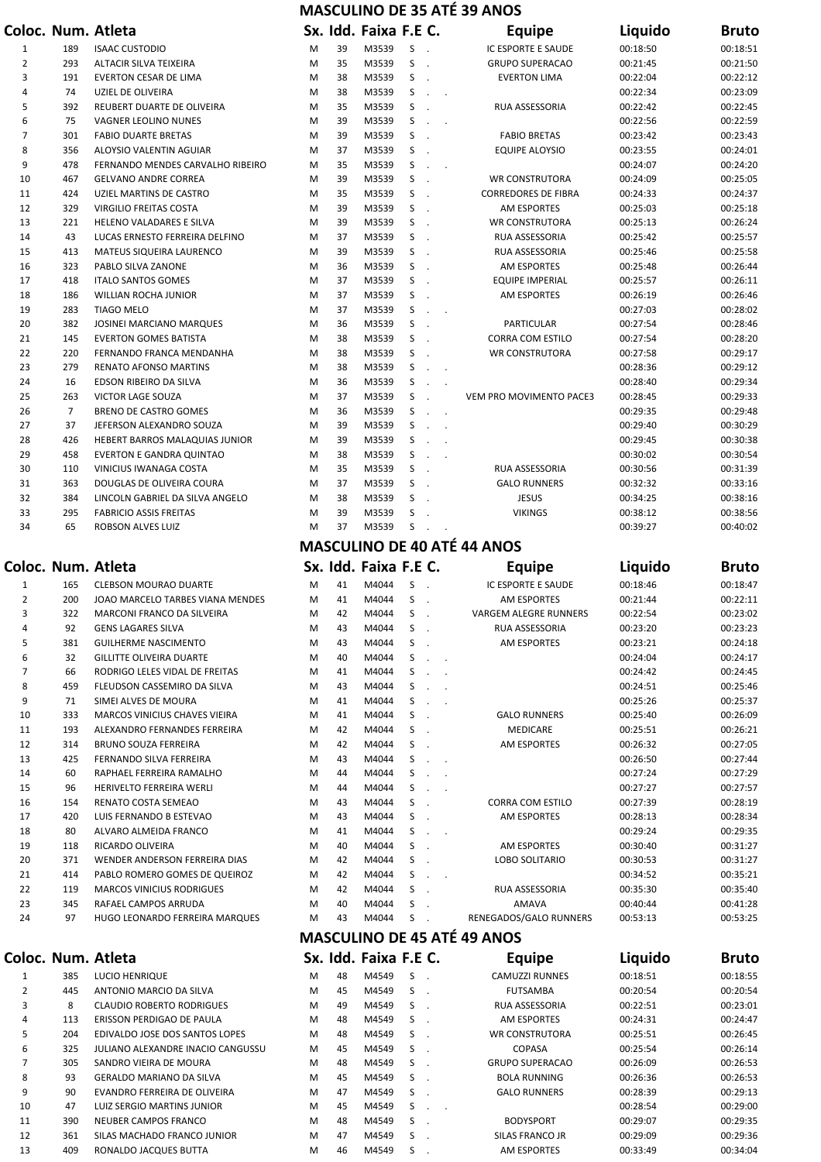|                     |                |                                                              |        |          |                       |              |                                                        | <b>MASCULINO DE 35 ATÉ 39 ANOS</b>      |                      |                      |
|---------------------|----------------|--------------------------------------------------------------|--------|----------|-----------------------|--------------|--------------------------------------------------------|-----------------------------------------|----------------------|----------------------|
|                     |                | Coloc. Num. Atleta                                           |        |          | Sx. Idd. Faixa F.E C. |              |                                                        | Equipe                                  | Liquido              | <b>Bruto</b>         |
| 1                   | 189            | <b>ISAAC CUSTODIO</b>                                        | M      | 39       | M3539                 | S            | $\sim$                                                 | IC ESPORTE E SAUDE                      | 00:18:50             | 00:18:51             |
| 2                   | 293            | ALTACIR SILVA TEIXEIRA                                       | M      | 35       | M3539                 | S            | $\overline{\phantom{a}}$                               | <b>GRUPO SUPERACAO</b>                  | 00:21:45             | 00:21:50             |
| 3                   | 191            | <b>EVERTON CESAR DE LIMA</b>                                 | M      | 38       | M3539                 | S            |                                                        | <b>EVERTON LIMA</b>                     | 00:22:04             | 00:22:12             |
| 4                   | 74             | UZIEL DE OLIVEIRA                                            | M      | 38       | M3539                 | S            | $\sim$                                                 |                                         | 00:22:34             | 00:23:09             |
| 5                   | 392            | REUBERT DUARTE DE OLIVEIRA                                   | M      | 35       | M3539                 | S            |                                                        | RUA ASSESSORIA                          | 00:22:42             | 00:22:45             |
| 6<br>7              | 75<br>301      | VAGNER LEOLINO NUNES<br><b>FABIO DUARTE BRETAS</b>           | M<br>M | 39<br>39 | M3539<br>M3539        | S<br>S       | $\cdot$<br>$\overline{\phantom{a}}$                    | <b>FABIO BRETAS</b>                     | 00:22:56<br>00:23:42 | 00:22:59<br>00:23:43 |
| 8                   | 356            | ALOYSIO VALENTIN AGUIAR                                      | M      | 37       | M3539                 | S            |                                                        | <b>EQUIPE ALOYSIO</b>                   | 00:23:55             | 00:24:01             |
| 9                   | 478            | FERNANDO MENDES CARVALHO RIBEIRO                             | M      | 35       | M3539                 | S            | $\ddot{\phantom{a}}$<br>$\overline{\phantom{a}}$       |                                         | 00:24:07             | 00:24:20             |
| 10                  | 467            | <b>GELVANO ANDRE CORREA</b>                                  | M      | 39       | M3539                 | S            |                                                        | <b>WR CONSTRUTORA</b>                   | 00:24:09             | 00:25:05             |
| 11                  | 424            | UZIEL MARTINS DE CASTRO                                      | M      | 35       | M3539                 | S            |                                                        | <b>CORREDORES DE FIBRA</b>              | 00:24:33             | 00:24:37             |
| 12                  | 329            | VIRGILIO FREITAS COSTA                                       | M      | 39       | M3539                 | S            |                                                        | AM ESPORTES                             | 00:25:03             | 00:25:18             |
| 13                  | 221            | HELENO VALADARES E SILVA                                     | M      | 39       | M3539                 | S            | $\sim$                                                 | <b>WR CONSTRUTORA</b>                   | 00:25:13             | 00:26:24             |
| 14                  | 43             | LUCAS ERNESTO FERREIRA DELFINO                               | M      | 37       | M3539                 | S            | $\overline{\phantom{a}}$                               | RUA ASSESSORIA                          | 00:25:42             | 00:25:57             |
| 15                  | 413            | <b>MATEUS SIQUEIRA LAURENCO</b>                              | M      | 39       | M3539                 | S            |                                                        | RUA ASSESSORIA                          | 00:25:46             | 00:25:58             |
| 16                  | 323            | PABLO SILVA ZANONE                                           | M      | 36       | M3539                 | S            |                                                        | AM ESPORTES                             | 00:25:48             | 00:26:44             |
| 17                  | 418            | <b>ITALO SANTOS GOMES</b>                                    | M      | 37       | M3539                 | S            |                                                        | <b>EQUIPE IMPERIAL</b>                  | 00:25:57             | 00:26:11             |
| 18<br>19            | 186<br>283     | <b>WILLIAN ROCHA JUNIOR</b><br><b>TIAGO MELO</b>             | M<br>M | 37<br>37 | M3539<br>M3539        | S<br>S       |                                                        | <b>AM ESPORTES</b>                      | 00:26:19<br>00:27:03 | 00:26:46<br>00:28:02 |
| 20                  | 382            | JOSINEI MARCIANO MARQUES                                     | M      | 36       | M3539                 | S            | $\overline{\phantom{a}}$<br>$\ddot{\phantom{a}}$       | PARTICULAR                              | 00:27:54             | 00:28:46             |
| 21                  | 145            | <b>EVERTON GOMES BATISTA</b>                                 | M      | 38       | M3539                 | S            |                                                        | CORRA COM ESTILO                        | 00:27:54             | 00:28:20             |
| 22                  | 220            | FERNANDO FRANCA MENDANHA                                     | M      | 38       | M3539                 | S            |                                                        | <b>WR CONSTRUTORA</b>                   | 00:27:58             | 00:29:17             |
| 23                  | 279            | <b>RENATO AFONSO MARTINS</b>                                 | M      | 38       | M3539                 | S            | $\ddot{\phantom{a}}$<br>$\ddot{\phantom{a}}$           |                                         | 00:28:36             | 00:29:12             |
| 24                  | 16             | EDSON RIBEIRO DA SILVA                                       | M      | 36       | M3539                 | S            | $\mathcal{L}$<br>$\ddot{\phantom{a}}$                  |                                         | 00:28:40             | 00:29:34             |
| 25                  | 263            | VICTOR LAGE SOUZA                                            | M      | 37       | M3539                 | S            | $\sim$                                                 | VEM PRO MOVIMENTO PACE3                 | 00:28:45             | 00:29:33             |
| 26                  | $\overline{7}$ | BRENO DE CASTRO GOMES                                        | M      | 36       | M3539                 | S            | $\ddot{\phantom{a}}$<br>$\overline{\phantom{a}}$       |                                         | 00:29:35             | 00:29:48             |
| 27                  | 37             | JEFERSON ALEXANDRO SOUZA                                     | M      | 39       | M3539                 | S            | $\mathcal{L}$<br>$\sim$                                |                                         | 00:29:40             | 00:30:29             |
| 28                  | 426            | HEBERT BARROS MALAQUIAS JUNIOR                               | M      | 39       | M3539                 | S            | $\sim$<br>$\sim$                                       |                                         | 00:29:45             | 00:30:38             |
| 29                  | 458            | <b>EVERTON E GANDRA QUINTAO</b>                              | M      | 38       | M3539                 | S            | $\mathcal{L}_{\mathbf{z}}$<br>$\overline{\phantom{a}}$ |                                         | 00:30:02             | 00:30:54             |
| 30                  | 110            | VINICIUS IWANAGA COSTA                                       | M      | 35       | M3539                 | S            |                                                        | RUA ASSESSORIA                          | 00:30:56             | 00:31:39             |
| 31<br>32            | 363<br>384     | DOUGLAS DE OLIVEIRA COURA<br>LINCOLN GABRIEL DA SILVA ANGELO | M<br>M | 37<br>38 | M3539<br>M3539        | S<br>S       |                                                        | <b>GALO RUNNERS</b><br><b>JESUS</b>     | 00:32:32<br>00:34:25 | 00:33:16<br>00:38:16 |
| 33                  | 295            | <b>FABRICIO ASSIS FREITAS</b>                                | M      | 39       | M3539                 | S            |                                                        | <b>VIKINGS</b>                          | 00:38:12             | 00:38:56             |
| 34                  | 65             | ROBSON ALVES LUIZ                                            | M      | 37       | M3539                 | S            |                                                        |                                         | 00:39:27             | 00:40:02             |
|                     |                |                                                              |        |          |                       |              |                                                        | <b>MASCULINO DE 40 ATÉ 44 ANOS</b>      |                      |                      |
|                     |                |                                                              |        |          |                       |              |                                                        |                                         |                      |                      |
|                     |                | Coloc. Num. Atleta                                           |        |          | Sx. Idd. Faixa F.E C. |              |                                                        | <b>Equipe</b>                           | Liquido              | <b>Bruto</b>         |
| $\mathbf{1}$        | 165            | <b>CLEBSON MOURAO DUARTE</b>                                 | M      | 41       | M4044                 | S            |                                                        | <b>IC ESPORTE E SAUDE</b>               | 00:18:46             | 00:18:47             |
| $\overline{2}$<br>3 | 200<br>322     | JOAO MARCELO TARBES VIANA MENDES                             | M<br>M | 41<br>42 | M4044<br>M4044        | S<br>S       | $\overline{\phantom{a}}$                               | <b>AM ESPORTES</b>                      | 00:21:44             | 00:22:11             |
| 4                   | 92             | MARCONI FRANCO DA SILVEIRA<br><b>GENS LAGARES SILVA</b>      | M      | 43       | M4044                 | S            | $\overline{\phantom{a}}$                               | VARGEM ALEGRE RUNNERS<br>RUA ASSESSORIA | 00:22:54<br>00:23:20 | 00:23:02<br>00:23:23 |
| 5                   | 381            | <b>GUILHERME NASCIMENTO</b>                                  | M      | 43       | M4044                 | S            |                                                        | <b>AM ESPORTES</b>                      | 00:23:21             | 00:24:18             |
| 6                   | 32             | <b>GILLITTE OLIVEIRA DUARTE</b>                              | M      |          |                       | S            | $\sim$                                                 |                                         |                      |                      |
|                     |                |                                                              |        | 40       | M4044                 |              |                                                        |                                         | 00:24:04             | 00:24:17             |
| 7                   | 66             | RODRIGO LELES VIDAL DE FREITAS                               | M      | 41       | M4044                 | S            | $\sim$                                                 |                                         | 00:24:42             | 00:24:45             |
| 8                   | 459            | FLEUDSON CASSEMIRO DA SILVA                                  | M      | 43       | M4044                 | S            | $\overline{\phantom{a}}$<br>$\cdot$                    |                                         | 00:24:51             | 00:25:46             |
| 9                   | 71             | SIMEI ALVES DE MOURA                                         | M      | 41       | M4044                 | S            | $\cdot$<br>$\ddot{\phantom{a}}$                        |                                         | 00:25:26             | 00:25:37             |
| 10                  | 333            | MARCOS VINICIUS CHAVES VIEIRA                                | M      | 41       | M4044                 | S            |                                                        | <b>GALO RUNNERS</b>                     | 00:25:40             | 00:26:09             |
| 11                  | 193            | ALEXANDRO FERNANDES FERREIRA                                 | M      | 42       | M4044                 | S            |                                                        | <b>MEDICARE</b>                         | 00:25:51             | 00:26:21             |
| 12                  | 314            | <b>BRUNO SOUZA FERREIRA</b>                                  | M      | 42       | M4044                 | S            |                                                        | AM ESPORTES                             | 00:26:32             | 00:27:05             |
| 13                  | 425            | FERNANDO SILVA FERREIRA                                      | M      | 43       | M4044                 | S            | $\ddot{\phantom{a}}$<br>$\sim$                         |                                         | 00:26:50             | 00:27:44             |
| 14                  | 60             | RAPHAEL FERREIRA RAMALHO                                     | M      | 44       | M4044                 | S            | $\sim$                                                 |                                         | 00:27:24             | 00:27:29             |
| 15                  | 96             | HERIVELTO FERREIRA WERLI                                     | M      | 44       | M4044                 | S            | $\sim$<br>$\mathcal{L}$                                |                                         | 00:27:27             | 00:27:57             |
| 16                  | 154            | RENATO COSTA SEMEAO                                          | M      | 43       | M4044                 | S            | $\sim$                                                 | <b>CORRA COM ESTILO</b>                 | 00:27:39             | 00:28:19             |
| 17                  | 420            | LUIS FERNANDO B ESTEVAO                                      | M      | 43       | M4044                 | S            |                                                        | AM ESPORTES                             | 00:28:13             | 00:28:34             |
| 18<br>19            | 80<br>118      | ALVARO ALMEIDA FRANCO<br>RICARDO OLIVEIRA                    | M<br>M | 41<br>40 | M4044<br>M4044        | S<br>S       | $\sim$<br>$\sim$                                       | AM ESPORTES                             | 00:29:24<br>00:30:40 | 00:29:35<br>00:31:27 |
| 20                  | 371            | WENDER ANDERSON FERREIRA DIAS                                | M      | 42       | M4044                 | S            |                                                        | LOBO SOLITARIO                          | 00:30:53             | 00:31:27             |
| 21                  | 414            | PABLO ROMERO GOMES DE QUEIROZ                                | M      | 42       | M4044                 | S            | $\ddot{\phantom{a}}$                                   |                                         | 00:34:52             | 00:35:21             |
| 22                  | 119            | <b>MARCOS VINICIUS RODRIGUES</b>                             | M      | 42       | M4044                 | S            |                                                        | RUA ASSESSORIA                          | 00:35:30             | 00:35:40             |
| 23                  | 345            | RAFAEL CAMPOS ARRUDA                                         | M      | 40       | M4044                 | S            |                                                        | <b>AMAVA</b>                            | 00:40:44             | 00:41:28             |
| 24                  | 97             | HUGO LEONARDO FERREIRA MARQUES                               | M      | 43       | M4044                 | S            |                                                        | RENEGADOS/GALO RUNNERS                  | 00:53:13             | 00:53:25             |
|                     |                |                                                              |        |          |                       |              |                                                        | <b>MASCULINO DE 45 ATÉ 49 ANOS</b>      |                      |                      |
|                     |                | Coloc. Num. Atleta                                           |        |          | Sx. Idd. Faixa F.E C. |              |                                                        | Equipe                                  | Liquido              | <b>Bruto</b>         |
| 1                   | 385            | <b>LUCIO HENRIQUE</b>                                        | M      | 48       | M4549                 | S            | $\sim$                                                 | <b>CAMUZZI RUNNES</b>                   | 00:18:51             | 00:18:55             |
| $\overline{2}$      | 445            | ANTONIO MARCIO DA SILVA                                      | M      | 45       | M4549                 | S            | $\ddot{\phantom{a}}$                                   | <b>FUTSAMBA</b>                         | 00:20:54             | 00:20:54             |
| 3                   | 8              | <b>CLAUDIO ROBERTO RODRIGUES</b>                             | M      | 49       | M4549                 | S            | $\overline{\phantom{a}}$                               | RUA ASSESSORIA                          | 00:22:51             | 00:23:01             |
| 4                   | 113            | ERISSON PERDIGAO DE PAULA                                    | M      | 48       | M4549                 | S<br>$\sim$  |                                                        | AM ESPORTES                             | 00:24:31             | 00:24:47             |
| 5                   | 204            | EDIVALDO JOSE DOS SANTOS LOPES                               | M      | 48       | M4549                 | S.<br>$\sim$ |                                                        | <b>WR CONSTRUTORA</b>                   | 00:25:51             | 00:26:45             |
| 6                   | 325            | JULIANO ALEXANDRE INACIO CANGUSSU                            | M      | 45       | M4549                 | S            | $\ddot{\phantom{a}}$                                   | <b>COPASA</b>                           | 00:25:54             | 00:26:14             |
| $\overline{7}$      | 305            | SANDRO VIEIRA DE MOURA                                       | M      | 48       | M4549                 | S            | $\overline{\phantom{a}}$                               | <b>GRUPO SUPERACAO</b>                  | 00:26:09             | 00:26:53             |
| 8                   | 93             | <b>GERALDO MARIANO DA SILVA</b>                              | M      | 45       | M4549                 | S            | $\overline{\phantom{a}}$                               | <b>BOLA RUNNING</b>                     | 00:26:36             | 00:26:53             |
| 9<br>10             | 90<br>47       | EVANDRO FERREIRA DE OLIVEIRA<br>LUIZ SERGIO MARTINS JUNIOR   | M<br>M | 47<br>45 | M4549<br>M4549        | S<br>S       | $\overline{\phantom{a}}$<br><b>Contract</b>            | <b>GALO RUNNERS</b>                     | 00:28:39<br>00:28:54 | 00:29:13<br>00:29:00 |

 390 NEUBER CAMPOS FRANCO M 48 M4549 S . BODYSPORT 00:29:07 00:29:35 361 SILAS MACHADO FRANCO JUNIOR M 47 M4549 S . SILAS FRANCO JR 00:29:09 00:29:36 409 RONALDO JACQUES BUTTA M 46 M4549 S . AM ESPORTES 00:33:49 00:34:04